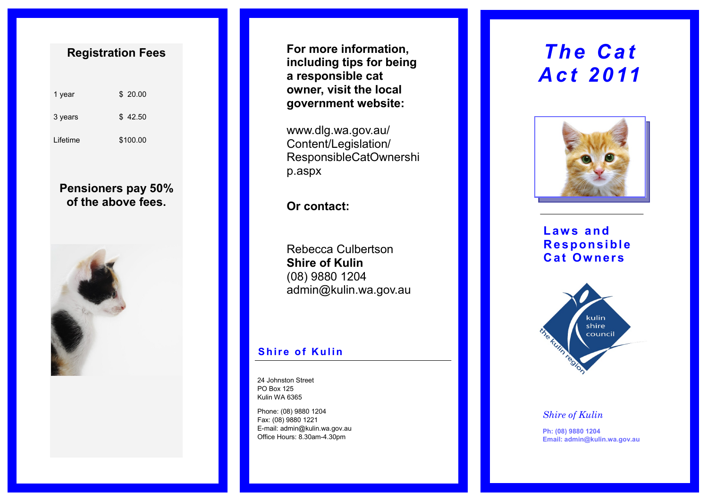# **Registration Fees**

| 1 year   | \$20.00  |
|----------|----------|
| 3 years  | \$42.50  |
| Lifetime | \$100.00 |

# **Pensioners pay 50% of the above fees.**



**For more information, including tips for being a responsible cat owner, visit the local government website:** 

www.dlg.wa.gov.au/ Content/Legislation/ ResponsibleCatOwnershi p.aspx

# **Or contact:**

Rebecca Culbertson **Shire of Kulin** (08) 9880 1204 admin@kulin.wa.gov.au

## **Shire of Kulin**

24 Johnston Street PO Box 125 Kulin WA 6365

Phone: (08) 9880 1204 Fax: (08) 9880 1221 E-mail: admin@kulin.wa.gov.au Office Hours: 8.30am-4.30pm

# **The Cat** *A c t 2 0 11*



**L aw s a n d R e s p o n si bl e C a t Ow ner s**



#### *Shire of Kulin*

**Ph: (08) 9880 1204 Email: admin@kulin.wa.gov.au**